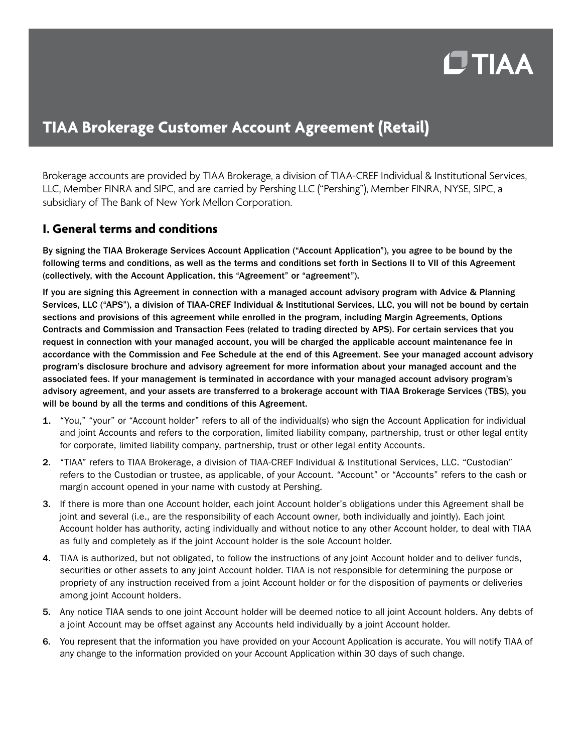# $C$ TIAA

# **TIAA Brokerage Customer Account Agreement (Retail)**

Brokerage accounts are provided by TIAA Brokerage, a division of TIAA-CREF Individual & Institutional Services, LLC, Member FINRA and SIPC, and are carried by Pershing LLC ("Pershing"), Member FINRA, NYSE, SIPC, a subsidiary of The Bank of New York Mellon Corporation.

## **I. General terms and conditions**

By signing the TIAA Brokerage Services Account Application ("Account Application"), you agree to be bound by the following terms and conditions, as well as the terms and conditions set forth in Sections II to VII of this Agreement (collectively, with the Account Application, this "Agreement" or "agreement").

If you are signing this Agreement in connection with a managed account advisory program with Advice & Planning Services, LLC ("APS"), a division of TIAA-CREF Individual & Institutional Services, LLC, you will not be bound by certain sections and provisions of this agreement while enrolled in the program, including Margin Agreements, Options Contracts and Commission and Transaction Fees (related to trading directed by APS). For certain services that you request in connection with your managed account, you will be charged the applicable account maintenance fee in accordance with the Commission and Fee Schedule at the end of this Agreement. See your managed account advisory program's disclosure brochure and advisory agreement for more information about your managed account and the associated fees. If your management is terminated in accordance with your managed account advisory program's advisory agreement, and your assets are transferred to a brokerage account with TIAA Brokerage Services (TBS), you will be bound by all the terms and conditions of this Agreement.

- 1. "You," "your" or "Account holder" refers to all of the individual(s) who sign the Account Application for individual and joint Accounts and refers to the corporation, limited liability company, partnership, trust or other legal entity for corporate, limited liability company, partnership, trust or other legal entity Accounts.
- 2. "TIAA" refers to TIAA Brokerage, a division of TIAA-CREF Individual & Institutional Services, LLC. "Custodian" refers to the Custodian or trustee, as applicable, of your Account. "Account" or "Accounts" refers to the cash or margin account opened in your name with custody at Pershing.
- 3. If there is more than one Account holder, each joint Account holder's obligations under this Agreement shall be joint and several (i.e., are the responsibility of each Account owner, both individually and jointly). Each joint Account holder has authority, acting individually and without notice to any other Account holder, to deal with TIAA as fully and completely as if the joint Account holder is the sole Account holder.
- 4. TIAA is authorized, but not obligated, to follow the instructions of any joint Account holder and to deliver funds, securities or other assets to any joint Account holder. TIAA is not responsible for determining the purpose or propriety of any instruction received from a joint Account holder or for the disposition of payments or deliveries among joint Account holders.
- 5. Any notice TIAA sends to one joint Account holder will be deemed notice to all joint Account holders. Any debts of a joint Account may be offset against any Accounts held individually by a joint Account holder.
- 6. You represent that the information you have provided on your Account Application is accurate. You will notify TIAA of any change to the information provided on your Account Application within 30 days of such change.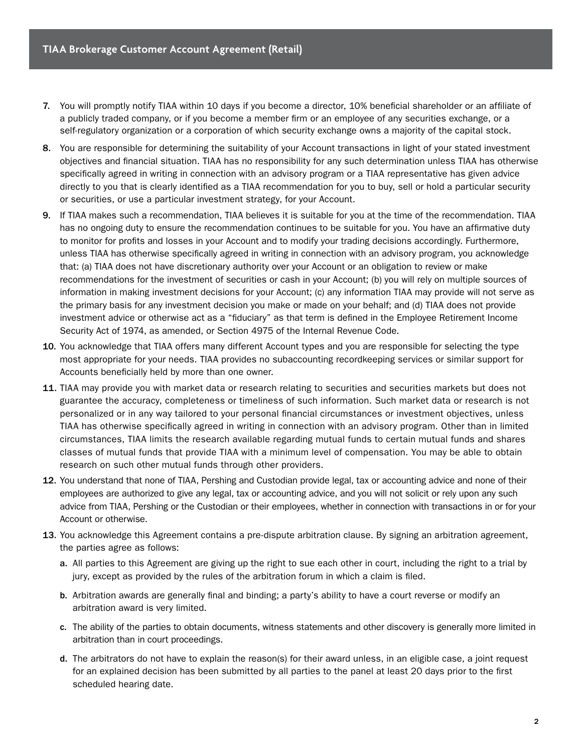- 7. You will promptly notify TIAA within 10 days if you become a director, 10% beneficial shareholder or an affiliate of a publicly traded company, or if you become a member firm or an employee of any securities exchange, or a self-regulatory organization or a corporation of which security exchange owns a majority of the capital stock.
- 8. You are responsible for determining the suitability of your Account transactions in light of your stated investment objectives and financial situation. TIAA has no responsibility for any such determination unless TIAA has otherwise specifically agreed in writing in connection with an advisory program or a TIAA representative has given advice directly to you that is clearly identified as a TIAA recommendation for you to buy, sell or hold a particular security or securities, or use a particular investment strategy, for your Account.
- 9. If TIAA makes such a recommendation, TIAA believes it is suitable for you at the time of the recommendation. TIAA has no ongoing duty to ensure the recommendation continues to be suitable for you. You have an affirmative duty to monitor for profits and losses in your Account and to modify your trading decisions accordingly. Furthermore, unless TIAA has otherwise specifically agreed in writing in connection with an advisory program, you acknowledge that: (a) TIAA does not have discretionary authority over your Account or an obligation to review or make recommendations for the investment of securities or cash in your Account; (b) you will rely on multiple sources of information in making investment decisions for your Account; (c) any information TIAA may provide will not serve as the primary basis for any investment decision you make or made on your behalf; and (d) TIAA does not provide investment advice or otherwise act as a "fiduciary" as that term is defined in the Employee Retirement Income Security Act of 1974, as amended, or Section 4975 of the Internal Revenue Code.
- 10. You acknowledge that TIAA offers many different Account types and you are responsible for selecting the type most appropriate for your needs. TIAA provides no subaccounting recordkeeping services or similar support for Accounts beneficially held by more than one owner.
- 11. TIAA may provide you with market data or research relating to securities and securities markets but does not guarantee the accuracy, completeness or timeliness of such information. Such market data or research is not personalized or in any way tailored to your personal financial circumstances or investment objectives, unless TIAA has otherwise specifically agreed in writing in connection with an advisory program. Other than in limited circumstances, TIAA limits the research available regarding mutual funds to certain mutual funds and shares classes of mutual funds that provide TIAA with a minimum level of compensation. You may be able to obtain research on such other mutual funds through other providers.
- 12. You understand that none of TIAA, Pershing and Custodian provide legal, tax or accounting advice and none of their employees are authorized to give any legal, tax or accounting advice, and you will not solicit or rely upon any such advice from TIAA, Pershing or the Custodian or their employees, whether in connection with transactions in or for your Account or otherwise.
- 13. You acknowledge this Agreement contains a pre-dispute arbitration clause. By signing an arbitration agreement, the parties agree as follows:
	- a. All parties to this Agreement are giving up the right to sue each other in court, including the right to a trial by jury, except as provided by the rules of the arbitration forum in which a claim is filed.
	- b. Arbitration awards are generally final and binding; a party's ability to have a court reverse or modify an arbitration award is very limited.
	- c. The ability of the parties to obtain documents, witness statements and other discovery is generally more limited in arbitration than in court proceedings.
	- d. The arbitrators do not have to explain the reason(s) for their award unless, in an eligible case, a joint request for an explained decision has been submitted by all parties to the panel at least 20 days prior to the first scheduled hearing date.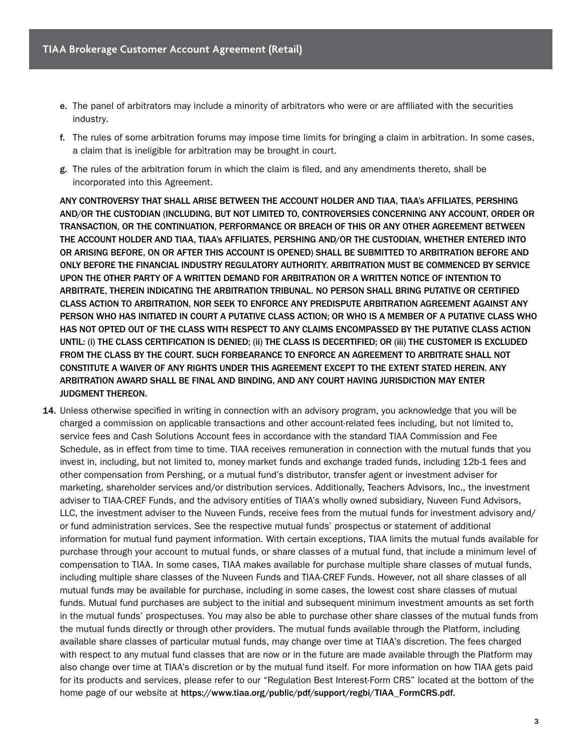- e. The panel of arbitrators may include a minority of arbitrators who were or are affiliated with the securities industry.
- f. The rules of some arbitration forums may impose time limits for bringing a claim in arbitration. In some cases, a claim that is ineligible for arbitration may be brought in court.
- g. The rules of the arbitration forum in which the claim is filed, and any amendments thereto, shall be incorporated into this Agreement.

ANY CONTROVERSY THAT SHALL ARISE BETWEEN THE ACCOUNT HOLDER AND TIAA, TIAA's AFFILIATES, PERSHING AND/OR THE CUSTODIAN (INCLUDING, BUT NOT LIMITED TO, CONTROVERSIES CONCERNING ANY ACCOUNT, ORDER OR TRANSACTION, OR THE CONTINUATION, PERFORMANCE OR BREACH OF THIS OR ANY OTHER AGREEMENT BETWEEN THE ACCOUNT HOLDER AND TIAA, TIAA's AFFILIATES, PERSHING AND/OR THE CUSTODIAN, WHETHER ENTERED INTO OR ARISING BEFORE, ON OR AFTER THIS ACCOUNT IS OPENED) SHALL BE SUBMITTED TO ARBITRATION BEFORE AND ONLY BEFORE THE FINANCIAL INDUSTRY REGULATORY AUTHORITY. ARBITRATION MUST BE COMMENCED BY SERVICE UPON THE OTHER PARTY OF A WRITTEN DEMAND FOR ARBITRATION OR A WRITTEN NOTICE OF INTENTION TO ARBITRATE, THEREIN INDICATING THE ARBITRATION TRIBUNAL. NO PERSON SHALL BRING PUTATIVE OR CERTIFIED CLASS ACTION TO ARBITRATION, NOR SEEK TO ENFORCE ANY PREDISPUTE ARBITRATION AGREEMENT AGAINST ANY PERSON WHO HAS INITIATED IN COURT A PUTATIVE CLASS ACTION; OR WHO IS A MEMBER OF A PUTATIVE CLASS WHO HAS NOT OPTED OUT OF THE CLASS WITH RESPECT TO ANY CLAIMS ENCOMPASSED BY THE PUTATIVE CLASS ACTION UNTIL: (i) THE CLASS CERTIFICATION IS DENIED; (ii) THE CLASS IS DECERTIFIED; OR (iii) THE CUSTOMER IS EXCLUDED FROM THE CLASS BY THE COURT. SUCH FORBEARANCE TO ENFORCE AN AGREEMENT TO ARBITRATE SHALL NOT CONSTITUTE A WAIVER OF ANY RIGHTS UNDER THIS AGREEMENT EXCEPT TO THE EXTENT STATED HEREIN. ANY ARBITRATION AWARD SHALL BE FINAL AND BINDING, AND ANY COURT HAVING JURISDICTION MAY ENTER JUDGMENT THEREON.

14. Unless otherwise specified in writing in connection with an advisory program, you acknowledge that you will be charged a commission on applicable transactions and other account-related fees including, but not limited to, service fees and Cash Solutions Account fees in accordance with the standard TIAA Commission and Fee Schedule, as in effect from time to time. TIAA receives remuneration in connection with the mutual funds that you invest in, including, but not limited to, money market funds and exchange traded funds, including 12b-1 fees and other compensation from Pershing, or a mutual fund's distributor, transfer agent or investment adviser for marketing, shareholder services and/or distribution services. Additionally, Teachers Advisors, Inc., the investment adviser to TIAA-CREF Funds, and the advisory entities of TIAA's wholly owned subsidiary, Nuveen Fund Advisors, LLC, the investment adviser to the Nuveen Funds, receive fees from the mutual funds for investment advisory and/ or fund administration services. See the respective mutual funds' prospectus or statement of additional information for mutual fund payment information. With certain exceptions, TIAA limits the mutual funds available for purchase through your account to mutual funds, or share classes of a mutual fund, that include a minimum level of compensation to TIAA. In some cases, TIAA makes available for purchase multiple share classes of mutual funds, including multiple share classes of the Nuveen Funds and TIAA-CREF Funds. However, not all share classes of all mutual funds may be available for purchase, including in some cases, the lowest cost share classes of mutual funds. Mutual fund purchases are subject to the initial and subsequent minimum investment amounts as set forth in the mutual funds' prospectuses. You may also be able to purchase other share classes of the mutual funds from the mutual funds directly or through other providers. The mutual funds available through the Platform, including available share classes of particular mutual funds, may change over time at TIAA's discretion. The fees charged with respect to any mutual fund classes that are now or in the future are made available through the Platform may also change over time at TIAA's discretion or by the mutual fund itself. For more information on how TIAA gets paid for its products and services, please refer to our "Regulation Best Interest-Form CRS" located at the bottom of the home page of our website at https://www.tiaa.org/public/pdf/support/regbi/TIAA\_FormCRS.pdf.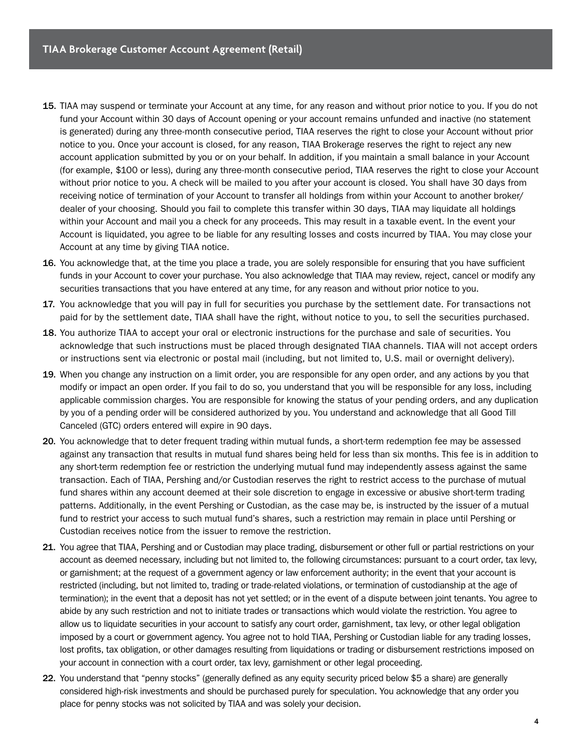- 15. TIAA may suspend or terminate your Account at any time, for any reason and without prior notice to you. If you do not fund your Account within 30 days of Account opening or your account remains unfunded and inactive (no statement is generated) during any three-month consecutive period, TIAA reserves the right to close your Account without prior notice to you. Once your account is closed, for any reason, TIAA Brokerage reserves the right to reject any new account application submitted by you or on your behalf. In addition, if you maintain a small balance in your Account (for example, \$100 or less), during any three-month consecutive period, TIAA reserves the right to close your Account without prior notice to you. A check will be mailed to you after your account is closed. You shall have 30 days from receiving notice of termination of your Account to transfer all holdings from within your Account to another broker/ dealer of your choosing. Should you fail to complete this transfer within 30 days, TIAA may liquidate all holdings within your Account and mail you a check for any proceeds. This may result in a taxable event. In the event your Account is liquidated, you agree to be liable for any resulting losses and costs incurred by TIAA. You may close your Account at any time by giving TIAA notice.
- 16. You acknowledge that, at the time you place a trade, you are solely responsible for ensuring that you have sufficient funds in your Account to cover your purchase. You also acknowledge that TIAA may review, reject, cancel or modify any securities transactions that you have entered at any time, for any reason and without prior notice to you.
- 17. You acknowledge that you will pay in full for securities you purchase by the settlement date. For transactions not paid for by the settlement date, TIAA shall have the right, without notice to you, to sell the securities purchased.
- 18. You authorize TIAA to accept your oral or electronic instructions for the purchase and sale of securities. You acknowledge that such instructions must be placed through designated TIAA channels. TIAA will not accept orders or instructions sent via electronic or postal mail (including, but not limited to, U.S. mail or overnight delivery).
- 19. When you change any instruction on a limit order, you are responsible for any open order, and any actions by you that modify or impact an open order. If you fail to do so, you understand that you will be responsible for any loss, including applicable commission charges. You are responsible for knowing the status of your pending orders, and any duplication by you of a pending order will be considered authorized by you. You understand and acknowledge that all Good Till Canceled (GTC) orders entered will expire in 90 days.
- 20. You acknowledge that to deter frequent trading within mutual funds, a short-term redemption fee may be assessed against any transaction that results in mutual fund shares being held for less than six months. This fee is in addition to any short-term redemption fee or restriction the underlying mutual fund may independently assess against the same transaction. Each of TIAA, Pershing and/or Custodian reserves the right to restrict access to the purchase of mutual fund shares within any account deemed at their sole discretion to engage in excessive or abusive short-term trading patterns. Additionally, in the event Pershing or Custodian, as the case may be, is instructed by the issuer of a mutual fund to restrict your access to such mutual fund's shares, such a restriction may remain in place until Pershing or Custodian receives notice from the issuer to remove the restriction.
- 21. You agree that TIAA, Pershing and or Custodian may place trading, disbursement or other full or partial restrictions on your account as deemed necessary, including but not limited to, the following circumstances: pursuant to a court order, tax levy, or garnishment; at the request of a government agency or law enforcement authority; in the event that your account is restricted (including, but not limited to, trading or trade-related violations, or termination of custodianship at the age of termination); in the event that a deposit has not yet settled; or in the event of a dispute between joint tenants. You agree to abide by any such restriction and not to initiate trades or transactions which would violate the restriction. You agree to allow us to liquidate securities in your account to satisfy any court order, garnishment, tax levy, or other legal obligation imposed by a court or government agency. You agree not to hold TIAA, Pershing or Custodian liable for any trading losses, lost profits, tax obligation, or other damages resulting from liquidations or trading or disbursement restrictions imposed on your account in connection with a court order, tax levy, garnishment or other legal proceeding.
- 22. You understand that "penny stocks" (generally defined as any equity security priced below \$5 a share) are generally considered high-risk investments and should be purchased purely for speculation. You acknowledge that any order you place for penny stocks was not solicited by TIAA and was solely your decision.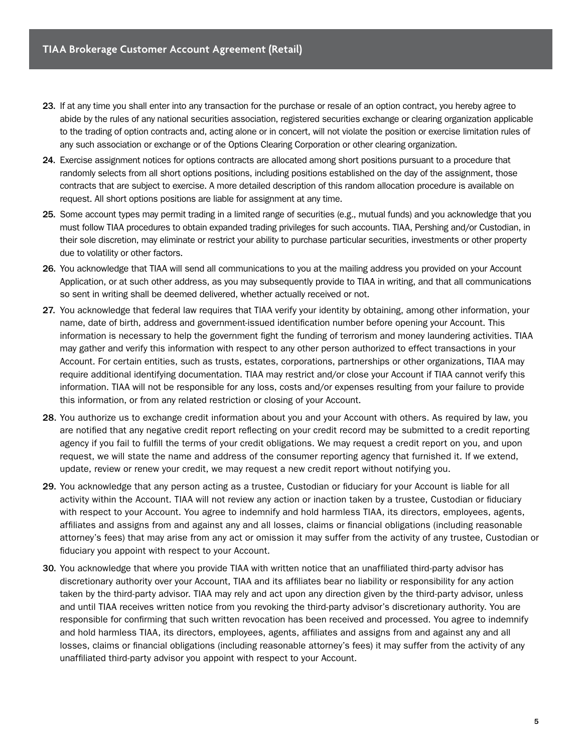- 23. If at any time you shall enter into any transaction for the purchase or resale of an option contract, you hereby agree to abide by the rules of any national securities association, registered securities exchange or clearing organization applicable to the trading of option contracts and, acting alone or in concert, will not violate the position or exercise limitation rules of any such association or exchange or of the Options Clearing Corporation or other clearing organization.
- 24. Exercise assignment notices for options contracts are allocated among short positions pursuant to a procedure that randomly selects from all short options positions, including positions established on the day of the assignment, those contracts that are subject to exercise. A more detailed description of this random allocation procedure is available on request. All short options positions are liable for assignment at any time.
- 25. Some account types may permit trading in a limited range of securities (e.g., mutual funds) and you acknowledge that you must follow TIAA procedures to obtain expanded trading privileges for such accounts. TIAA, Pershing and/or Custodian, in their sole discretion, may eliminate or restrict your ability to purchase particular securities, investments or other property due to volatility or other factors.
- 26. You acknowledge that TIAA will send all communications to you at the mailing address you provided on your Account Application, or at such other address, as you may subsequently provide to TIAA in writing, and that all communications so sent in writing shall be deemed delivered, whether actually received or not.
- 27. You acknowledge that federal law requires that TIAA verify your identity by obtaining, among other information, your name, date of birth, address and government-issued identification number before opening your Account. This information is necessary to help the government fight the funding of terrorism and money laundering activities. TIAA may gather and verify this information with respect to any other person authorized to effect transactions in your Account. For certain entities, such as trusts, estates, corporations, partnerships or other organizations, TIAA may require additional identifying documentation. TIAA may restrict and/or close your Account if TIAA cannot verify this information. TIAA will not be responsible for any loss, costs and/or expenses resulting from your failure to provide this information, or from any related restriction or closing of your Account.
- 28. You authorize us to exchange credit information about you and your Account with others. As required by law, you are notified that any negative credit report reflecting on your credit record may be submitted to a credit reporting agency if you fail to fulfill the terms of your credit obligations. We may request a credit report on you, and upon request, we will state the name and address of the consumer reporting agency that furnished it. If we extend, update, review or renew your credit, we may request a new credit report without notifying you.
- 29. You acknowledge that any person acting as a trustee, Custodian or fiduciary for your Account is liable for all activity within the Account. TIAA will not review any action or inaction taken by a trustee, Custodian or fiduciary with respect to your Account. You agree to indemnify and hold harmless TIAA, its directors, employees, agents, affiliates and assigns from and against any and all losses, claims or financial obligations (including reasonable attorney's fees) that may arise from any act or omission it may suffer from the activity of any trustee, Custodian or fiduciary you appoint with respect to your Account.
- 30. You acknowledge that where you provide TIAA with written notice that an unaffiliated third-party advisor has discretionary authority over your Account, TIAA and its affiliates bear no liability or responsibility for any action taken by the third-party advisor. TIAA may rely and act upon any direction given by the third-party advisor, unless and until TIAA receives written notice from you revoking the third-party advisor's discretionary authority. You are responsible for confirming that such written revocation has been received and processed. You agree to indemnify and hold harmless TIAA, its directors, employees, agents, affiliates and assigns from and against any and all losses, claims or financial obligations (including reasonable attorney's fees) it may suffer from the activity of any unaffiliated third-party advisor you appoint with respect to your Account.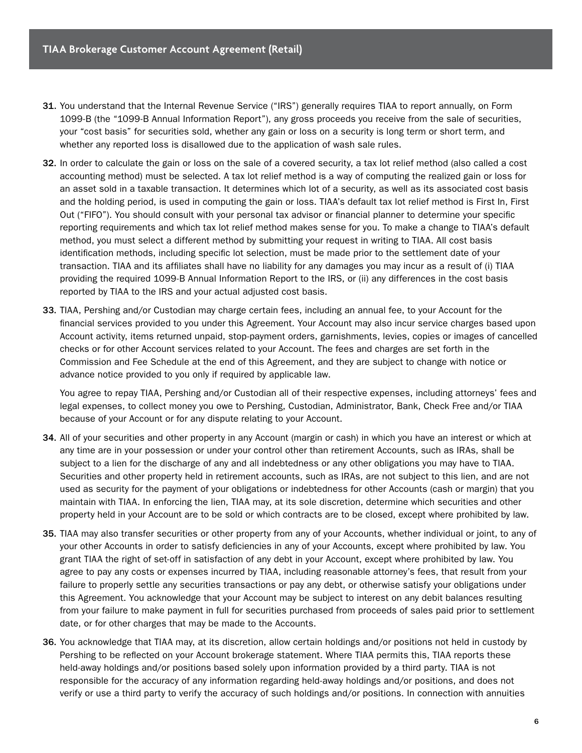- 31. You understand that the Internal Revenue Service ("IRS") generally requires TIAA to report annually, on Form 1099-B (the "1099-B Annual Information Report"), any gross proceeds you receive from the sale of securities, your "cost basis" for securities sold, whether any gain or loss on a security is long term or short term, and whether any reported loss is disallowed due to the application of wash sale rules.
- 32. In order to calculate the gain or loss on the sale of a covered security, a tax lot relief method (also called a cost accounting method) must be selected. A tax lot relief method is a way of computing the realized gain or loss for an asset sold in a taxable transaction. It determines which lot of a security, as well as its associated cost basis and the holding period, is used in computing the gain or loss. TIAA's default tax lot relief method is First In, First Out ("FIFO"). You should consult with your personal tax advisor or financial planner to determine your specific reporting requirements and which tax lot relief method makes sense for you. To make a change to TIAA's default method, you must select a different method by submitting your request in writing to TIAA. All cost basis identification methods, including specific lot selection, must be made prior to the settlement date of your transaction. TIAA and its affiliates shall have no liability for any damages you may incur as a result of (i) TIAA providing the required 1099-B Annual Information Report to the IRS, or (ii) any differences in the cost basis reported by TIAA to the IRS and your actual adjusted cost basis.
- 33. TIAA, Pershing and/or Custodian may charge certain fees, including an annual fee, to your Account for the financial services provided to you under this Agreement. Your Account may also incur service charges based upon Account activity, items returned unpaid, stop-payment orders, garnishments, levies, copies or images of cancelled checks or for other Account services related to your Account. The fees and charges are set forth in the Commission and Fee Schedule at the end of this Agreement, and they are subject to change with notice or advance notice provided to you only if required by applicable law.

You agree to repay TIAA, Pershing and/or Custodian all of their respective expenses, including attorneys' fees and legal expenses, to collect money you owe to Pershing, Custodian, Administrator, Bank, Check Free and/or TIAA because of your Account or for any dispute relating to your Account.

- 34. All of your securities and other property in any Account (margin or cash) in which you have an interest or which at any time are in your possession or under your control other than retirement Accounts, such as IRAs, shall be subject to a lien for the discharge of any and all indebtedness or any other obligations you may have to TIAA. Securities and other property held in retirement accounts, such as IRAs, are not subject to this lien, and are not used as security for the payment of your obligations or indebtedness for other Accounts (cash or margin) that you maintain with TIAA. In enforcing the lien, TIAA may, at its sole discretion, determine which securities and other property held in your Account are to be sold or which contracts are to be closed, except where prohibited by law.
- 35. TIAA may also transfer securities or other property from any of your Accounts, whether individual or joint, to any of your other Accounts in order to satisfy deficiencies in any of your Accounts, except where prohibited by law. You grant TIAA the right of set-off in satisfaction of any debt in your Account, except where prohibited by law. You agree to pay any costs or expenses incurred by TIAA, including reasonable attorney's fees, that result from your failure to properly settle any securities transactions or pay any debt, or otherwise satisfy your obligations under this Agreement. You acknowledge that your Account may be subject to interest on any debit balances resulting from your failure to make payment in full for securities purchased from proceeds of sales paid prior to settlement date, or for other charges that may be made to the Accounts.
- 36. You acknowledge that TIAA may, at its discretion, allow certain holdings and/or positions not held in custody by Pershing to be reflected on your Account brokerage statement. Where TIAA permits this, TIAA reports these held-away holdings and/or positions based solely upon information provided by a third party. TIAA is not responsible for the accuracy of any information regarding held-away holdings and/or positions, and does not verify or use a third party to verify the accuracy of such holdings and/or positions. In connection with annuities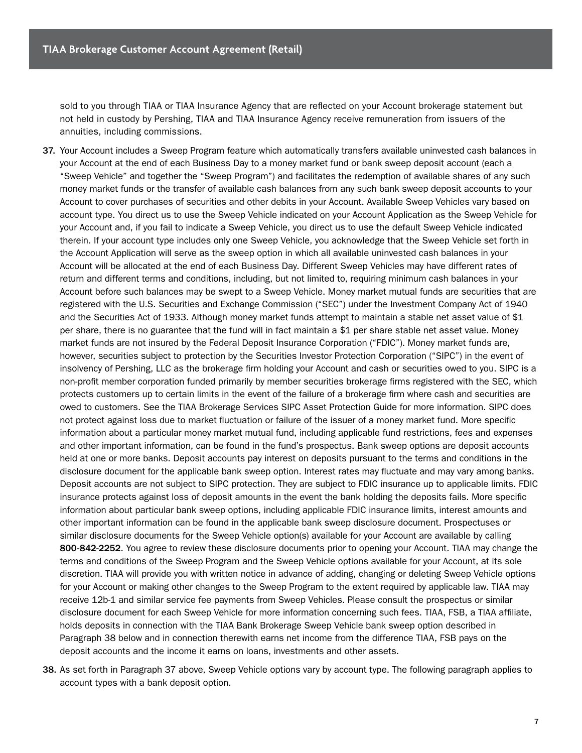sold to you through TIAA or TIAA Insurance Agency that are reflected on your Account brokerage statement but not held in custody by Pershing, TIAA and TIAA Insurance Agency receive remuneration from issuers of the annuities, including commissions.

- 37. Your Account includes a Sweep Program feature which automatically transfers available uninvested cash balances in your Account at the end of each Business Day to a money market fund or bank sweep deposit account (each a "Sweep Vehicle" and together the "Sweep Program") and facilitates the redemption of available shares of any such money market funds or the transfer of available cash balances from any such bank sweep deposit accounts to your Account to cover purchases of securities and other debits in your Account. Available Sweep Vehicles vary based on account type. You direct us to use the Sweep Vehicle indicated on your Account Application as the Sweep Vehicle for your Account and, if you fail to indicate a Sweep Vehicle, you direct us to use the default Sweep Vehicle indicated therein. If your account type includes only one Sweep Vehicle, you acknowledge that the Sweep Vehicle set forth in the Account Application will serve as the sweep option in which all available uninvested cash balances in your Account will be allocated at the end of each Business Day. Different Sweep Vehicles may have different rates of return and different terms and conditions, including, but not limited to, requiring minimum cash balances in your Account before such balances may be swept to a Sweep Vehicle. Money market mutual funds are securities that are registered with the U.S. Securities and Exchange Commission ("SEC") under the Investment Company Act of 1940 and the Securities Act of 1933. Although money market funds attempt to maintain a stable net asset value of \$1 per share, there is no guarantee that the fund will in fact maintain a \$1 per share stable net asset value. Money market funds are not insured by the Federal Deposit Insurance Corporation ("FDIC"). Money market funds are, however, securities subject to protection by the Securities Investor Protection Corporation ("SIPC") in the event of insolvency of Pershing, LLC as the brokerage firm holding your Account and cash or securities owed to you. SIPC is a non-profit member corporation funded primarily by member securities brokerage firms registered with the SEC, which protects customers up to certain limits in the event of the failure of a brokerage firm where cash and securities are owed to customers. See the TIAA Brokerage Services SIPC Asset Protection Guide for more information. SIPC does not protect against loss due to market fluctuation or failure of the issuer of a money market fund. More specific information about a particular money market mutual fund, including applicable fund restrictions, fees and expenses and other important information, can be found in the fund's prospectus. Bank sweep options are deposit accounts held at one or more banks. Deposit accounts pay interest on deposits pursuant to the terms and conditions in the disclosure document for the applicable bank sweep option. Interest rates may fluctuate and may vary among banks. Deposit accounts are not subject to SIPC protection. They are subject to FDIC insurance up to applicable limits. FDIC insurance protects against loss of deposit amounts in the event the bank holding the deposits fails. More specific information about particular bank sweep options, including applicable FDIC insurance limits, interest amounts and other important information can be found in the applicable bank sweep disclosure document. Prospectuses or similar disclosure documents for the Sweep Vehicle option(s) available for your Account are available by calling 800-842-2252. You agree to review these disclosure documents prior to opening your Account. TIAA may change the terms and conditions of the Sweep Program and the Sweep Vehicle options available for your Account, at its sole discretion. TIAA will provide you with written notice in advance of adding, changing or deleting Sweep Vehicle options for your Account or making other changes to the Sweep Program to the extent required by applicable law. TIAA may receive 12b-1 and similar service fee payments from Sweep Vehicles. Please consult the prospectus or similar disclosure document for each Sweep Vehicle for more information concerning such fees. TIAA, FSB, a TIAA affiliate, holds deposits in connection with the TIAA Bank Brokerage Sweep Vehicle bank sweep option described in Paragraph 38 below and in connection therewith earns net income from the difference TIAA, FSB pays on the deposit accounts and the income it earns on loans, investments and other assets.
- 38. As set forth in Paragraph 37 above, Sweep Vehicle options vary by account type. The following paragraph applies to account types with a bank deposit option.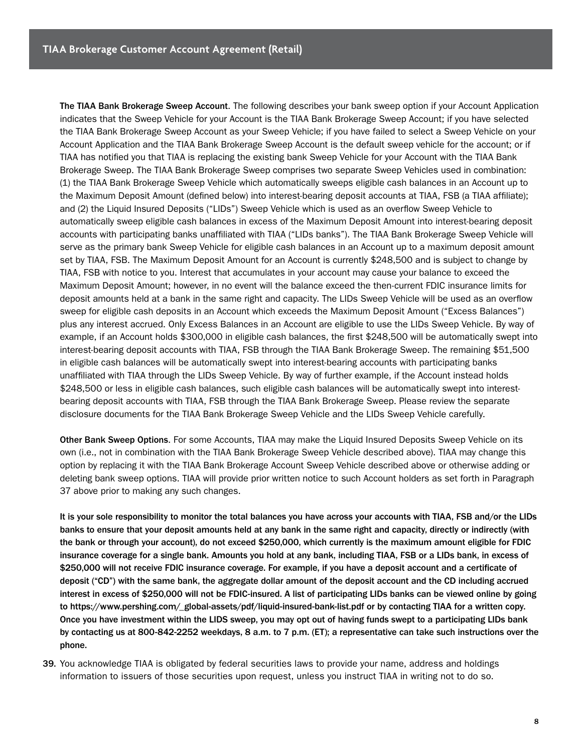The TIAA Bank Brokerage Sweep Account. The following describes your bank sweep option if your Account Application indicates that the Sweep Vehicle for your Account is the TIAA Bank Brokerage Sweep Account; if you have selected the TIAA Bank Brokerage Sweep Account as your Sweep Vehicle; if you have failed to select a Sweep Vehicle on your Account Application and the TIAA Bank Brokerage Sweep Account is the default sweep vehicle for the account; or if TIAA has notified you that TIAA is replacing the existing bank Sweep Vehicle for your Account with the TIAA Bank Brokerage Sweep. The TIAA Bank Brokerage Sweep comprises two separate Sweep Vehicles used in combination: (1) the TIAA Bank Brokerage Sweep Vehicle which automatically sweeps eligible cash balances in an Account up to the Maximum Deposit Amount (defined below) into interest-bearing deposit accounts at TIAA, FSB (a TIAA affiliate); and (2) the Liquid Insured Deposits ("LIDs") Sweep Vehicle which is used as an overflow Sweep Vehicle to automatically sweep eligible cash balances in excess of the Maximum Deposit Amount into interest-bearing deposit accounts with participating banks unaffiliated with TIAA ("LIDs banks"). The TIAA Bank Brokerage Sweep Vehicle will serve as the primary bank Sweep Vehicle for eligible cash balances in an Account up to a maximum deposit amount set by TIAA, FSB. The Maximum Deposit Amount for an Account is currently \$248,500 and is subject to change by TIAA, FSB with notice to you. Interest that accumulates in your account may cause your balance to exceed the Maximum Deposit Amount; however, in no event will the balance exceed the then-current FDIC insurance limits for deposit amounts held at a bank in the same right and capacity. The LIDs Sweep Vehicle will be used as an overflow sweep for eligible cash deposits in an Account which exceeds the Maximum Deposit Amount ("Excess Balances") plus any interest accrued. Only Excess Balances in an Account are eligible to use the LIDs Sweep Vehicle. By way of example, if an Account holds \$300,000 in eligible cash balances, the first \$248,500 will be automatically swept into interest-bearing deposit accounts with TIAA, FSB through the TIAA Bank Brokerage Sweep. The remaining \$51,500 in eligible cash balances will be automatically swept into interest-bearing accounts with participating banks unaffiliated with TIAA through the LIDs Sweep Vehicle. By way of further example, if the Account instead holds \$248,500 or less in eligible cash balances, such eligible cash balances will be automatically swept into interestbearing deposit accounts with TIAA, FSB through the TIAA Bank Brokerage Sweep. Please review the separate disclosure documents for the TIAA Bank Brokerage Sweep Vehicle and the LIDs Sweep Vehicle carefully.

Other Bank Sweep Options. For some Accounts, TIAA may make the Liquid Insured Deposits Sweep Vehicle on its own (i.e., not in combination with the TIAA Bank Brokerage Sweep Vehicle described above). TIAA may change this option by replacing it with the TIAA Bank Brokerage Account Sweep Vehicle described above or otherwise adding or deleting bank sweep options. TIAA will provide prior written notice to such Account holders as set forth in Paragraph 37 above prior to making any such changes.

It is your sole responsibility to monitor the total balances you have across your accounts with TIAA, FSB and/or the LIDs banks to ensure that your deposit amounts held at any bank in the same right and capacity, directly or indirectly (with the bank or through your account), do not exceed \$250,000, which currently is the maximum amount eligible for FDIC insurance coverage for a single bank. Amounts you hold at any bank, including TIAA, FSB or a LIDs bank, in excess of \$250,000 will not receive FDIC insurance coverage. For example, if you have a deposit account and a certificate of deposit ("CD") with the same bank, the aggregate dollar amount of the deposit account and the CD including accrued interest in excess of \$250,000 will not be FDIC-insured. A list of participating LIDs banks can be viewed online by going to https://www.pershing.com/\_global-assets/pdf/liquid-insured-bank-list.pdf or by contacting TIAA for a written copy. Once you have investment within the LIDS sweep, you may opt out of having funds swept to a participating LIDs bank by contacting us at 800-842-2252 weekdays, 8 a.m. to 7 p.m. (ET); a representative can take such instructions over the phone.

39. You acknowledge TIAA is obligated by federal securities laws to provide your name, address and holdings information to issuers of those securities upon request, unless you instruct TIAA in writing not to do so.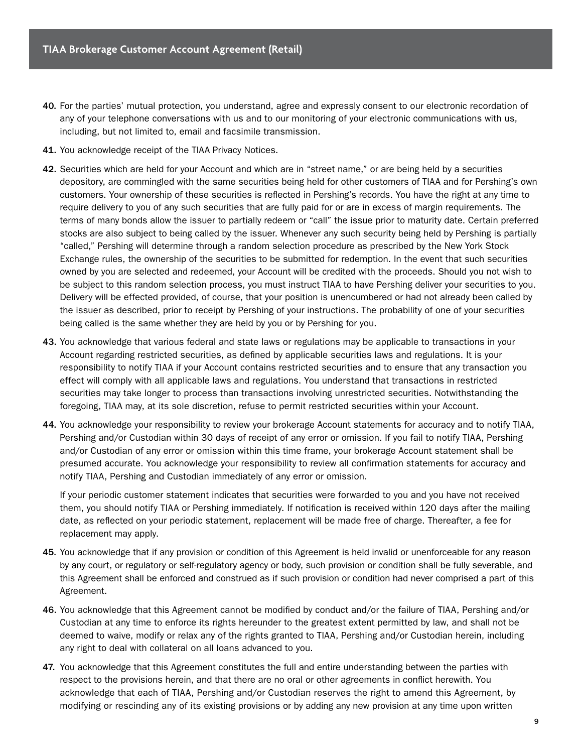- 40. For the parties' mutual protection, you understand, agree and expressly consent to our electronic recordation of any of your telephone conversations with us and to our monitoring of your electronic communications with us, including, but not limited to, email and facsimile transmission.
- 41. You acknowledge receipt of the TIAA Privacy Notices.
- 42. Securities which are held for your Account and which are in "street name," or are being held by a securities depository, are commingled with the same securities being held for other customers of TIAA and for Pershing's own customers. Your ownership of these securities is reflected in Pershing's records. You have the right at any time to require delivery to you of any such securities that are fully paid for or are in excess of margin requirements. The terms of many bonds allow the issuer to partially redeem or "call" the issue prior to maturity date. Certain preferred stocks are also subject to being called by the issuer. Whenever any such security being held by Pershing is partially "called," Pershing will determine through a random selection procedure as prescribed by the New York Stock Exchange rules, the ownership of the securities to be submitted for redemption. In the event that such securities owned by you are selected and redeemed, your Account will be credited with the proceeds. Should you not wish to be subject to this random selection process, you must instruct TIAA to have Pershing deliver your securities to you. Delivery will be effected provided, of course, that your position is unencumbered or had not already been called by the issuer as described, prior to receipt by Pershing of your instructions. The probability of one of your securities being called is the same whether they are held by you or by Pershing for you.
- 43. You acknowledge that various federal and state laws or regulations may be applicable to transactions in your Account regarding restricted securities, as defined by applicable securities laws and regulations. It is your responsibility to notify TIAA if your Account contains restricted securities and to ensure that any transaction you effect will comply with all applicable laws and regulations. You understand that transactions in restricted securities may take longer to process than transactions involving unrestricted securities. Notwithstanding the foregoing, TIAA may, at its sole discretion, refuse to permit restricted securities within your Account.
- 44. You acknowledge your responsibility to review your brokerage Account statements for accuracy and to notify TIAA, Pershing and/or Custodian within 30 days of receipt of any error or omission. If you fail to notify TIAA, Pershing and/or Custodian of any error or omission within this time frame, your brokerage Account statement shall be presumed accurate. You acknowledge your responsibility to review all confirmation statements for accuracy and notify TIAA, Pershing and Custodian immediately of any error or omission.

If your periodic customer statement indicates that securities were forwarded to you and you have not received them, you should notify TIAA or Pershing immediately. If notification is received within 120 days after the mailing date, as reflected on your periodic statement, replacement will be made free of charge. Thereafter, a fee for replacement may apply.

- 45. You acknowledge that if any provision or condition of this Agreement is held invalid or unenforceable for any reason by any court, or regulatory or self-regulatory agency or body, such provision or condition shall be fully severable, and this Agreement shall be enforced and construed as if such provision or condition had never comprised a part of this Agreement.
- 46. You acknowledge that this Agreement cannot be modified by conduct and/or the failure of TIAA, Pershing and/or Custodian at any time to enforce its rights hereunder to the greatest extent permitted by law, and shall not be deemed to waive, modify or relax any of the rights granted to TIAA, Pershing and/or Custodian herein, including any right to deal with collateral on all loans advanced to you.
- 47. You acknowledge that this Agreement constitutes the full and entire understanding between the parties with respect to the provisions herein, and that there are no oral or other agreements in conflict herewith. You acknowledge that each of TIAA, Pershing and/or Custodian reserves the right to amend this Agreement, by modifying or rescinding any of its existing provisions or by adding any new provision at any time upon written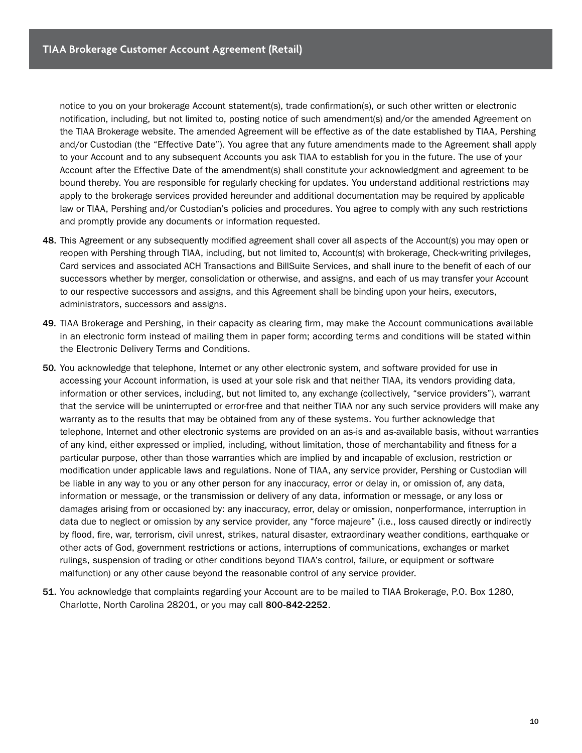notice to you on your brokerage Account statement(s), trade confirmation(s), or such other written or electronic notification, including, but not limited to, posting notice of such amendment(s) and/or the amended Agreement on the TIAA Brokerage website. The amended Agreement will be effective as of the date established by TIAA, Pershing and/or Custodian (the "Effective Date"). You agree that any future amendments made to the Agreement shall apply to your Account and to any subsequent Accounts you ask TIAA to establish for you in the future. The use of your Account after the Effective Date of the amendment(s) shall constitute your acknowledgment and agreement to be bound thereby. You are responsible for regularly checking for updates. You understand additional restrictions may apply to the brokerage services provided hereunder and additional documentation may be required by applicable law or TIAA, Pershing and/or Custodian's policies and procedures. You agree to comply with any such restrictions and promptly provide any documents or information requested.

- 48. This Agreement or any subsequently modified agreement shall cover all aspects of the Account(s) you may open or reopen with Pershing through TIAA, including, but not limited to, Account(s) with brokerage, Check-writing privileges, Card services and associated ACH Transactions and BillSuite Services, and shall inure to the benefit of each of our successors whether by merger, consolidation or otherwise, and assigns, and each of us may transfer your Account to our respective successors and assigns, and this Agreement shall be binding upon your heirs, executors, administrators, successors and assigns.
- 49. TIAA Brokerage and Pershing, in their capacity as clearing firm, may make the Account communications available in an electronic form instead of mailing them in paper form; according terms and conditions will be stated within the Electronic Delivery Terms and Conditions.
- 50. You acknowledge that telephone, Internet or any other electronic system, and software provided for use in accessing your Account information, is used at your sole risk and that neither TIAA, its vendors providing data, information or other services, including, but not limited to, any exchange (collectively, "service providers"), warrant that the service will be uninterrupted or error-free and that neither TIAA nor any such service providers will make any warranty as to the results that may be obtained from any of these systems. You further acknowledge that telephone, Internet and other electronic systems are provided on an as-is and as-available basis, without warranties of any kind, either expressed or implied, including, without limitation, those of merchantability and fitness for a particular purpose, other than those warranties which are implied by and incapable of exclusion, restriction or modification under applicable laws and regulations. None of TIAA, any service provider, Pershing or Custodian will be liable in any way to you or any other person for any inaccuracy, error or delay in, or omission of, any data, information or message, or the transmission or delivery of any data, information or message, or any loss or damages arising from or occasioned by: any inaccuracy, error, delay or omission, nonperformance, interruption in data due to neglect or omission by any service provider, any "force majeure" (i.e., loss caused directly or indirectly by flood, fire, war, terrorism, civil unrest, strikes, natural disaster, extraordinary weather conditions, earthquake or other acts of God, government restrictions or actions, interruptions of communications, exchanges or market rulings, suspension of trading or other conditions beyond TIAA's control, failure, or equipment or software malfunction) or any other cause beyond the reasonable control of any service provider.
- 51. You acknowledge that complaints regarding your Account are to be mailed to TIAA Brokerage, P.O. Box 1280, Charlotte, North Carolina 28201, or you may call 800-842-2252.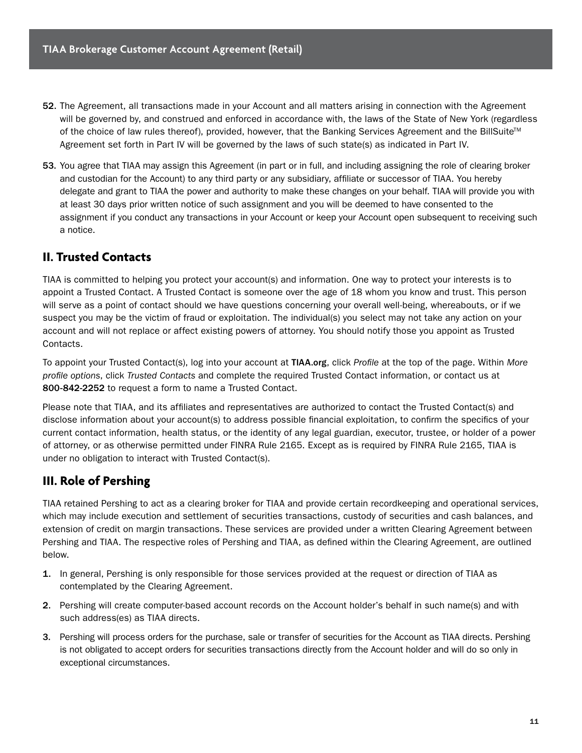- 52. The Agreement, all transactions made in your Account and all matters arising in connection with the Agreement will be governed by, and construed and enforced in accordance with, the laws of the State of New York (regardless of the choice of law rules thereof), provided, however, that the Banking Services Agreement and the BillSuite<sup>™</sup> Agreement set forth in Part IV will be governed by the laws of such state(s) as indicated in Part IV.
- 53. You agree that TIAA may assign this Agreement (in part or in full, and including assigning the role of clearing broker and custodian for the Account) to any third party or any subsidiary, affiliate or successor of TIAA. You hereby delegate and grant to TIAA the power and authority to make these changes on your behalf. TIAA will provide you with at least 30 days prior written notice of such assignment and you will be deemed to have consented to the assignment if you conduct any transactions in your Account or keep your Account open subsequent to receiving such a notice.

### **II. Trusted Contacts**

TIAA is committed to helping you protect your account(s) and information. One way to protect your interests is to appoint a Trusted Contact. A Trusted Contact is someone over the age of 18 whom you know and trust. This person will serve as a point of contact should we have questions concerning your overall well-being, whereabouts, or if we suspect you may be the victim of fraud or exploitation. The individual(s) you select may not take any action on your account and will not replace or affect existing powers of attorney. You should notify those you appoint as Trusted Contacts.

To appoint your Trusted Contact(s), log into your account at TIAA.org, click *Profile* at the top of the page. Within *More profile options*, click *Trusted Contacts* and complete the required Trusted Contact information, or contact us at 800-842-2252 to request a form to name a Trusted Contact.

Please note that TIAA, and its affiliates and representatives are authorized to contact the Trusted Contact(s) and disclose information about your account(s) to address possible financial exploitation, to confirm the specifics of your current contact information, health status, or the identity of any legal guardian, executor, trustee, or holder of a power of attorney, or as otherwise permitted under FINRA Rule 2165. Except as is required by FINRA Rule 2165, TIAA is under no obligation to interact with Trusted Contact(s).

## **III. Role of Pershing**

TIAA retained Pershing to act as a clearing broker for TIAA and provide certain recordkeeping and operational services, which may include execution and settlement of securities transactions, custody of securities and cash balances, and extension of credit on margin transactions. These services are provided under a written Clearing Agreement between Pershing and TIAA. The respective roles of Pershing and TIAA, as defined within the Clearing Agreement, are outlined below.

- 1. In general, Pershing is only responsible for those services provided at the request or direction of TIAA as contemplated by the Clearing Agreement.
- 2. Pershing will create computer-based account records on the Account holder's behalf in such name(s) and with such address(es) as TIAA directs.
- 3. Pershing will process orders for the purchase, sale or transfer of securities for the Account as TIAA directs. Pershing is not obligated to accept orders for securities transactions directly from the Account holder and will do so only in exceptional circumstances.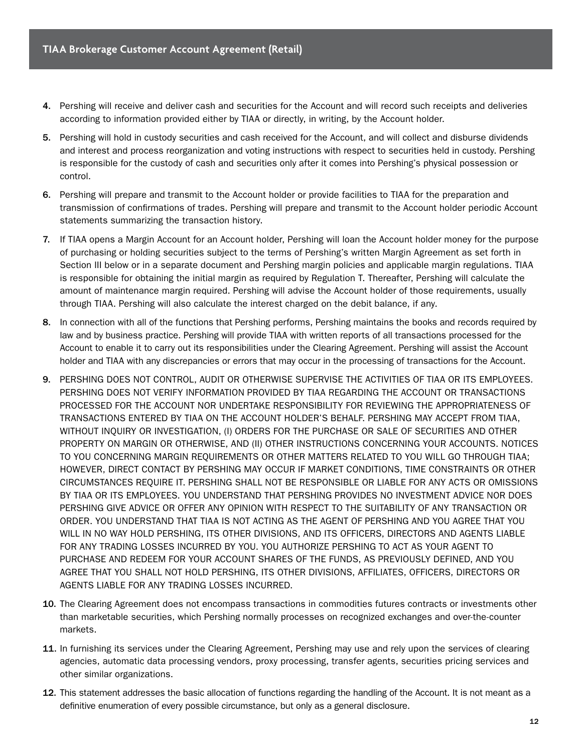- 4. Pershing will receive and deliver cash and securities for the Account and will record such receipts and deliveries according to information provided either by TIAA or directly, in writing, by the Account holder.
- 5. Pershing will hold in custody securities and cash received for the Account, and will collect and disburse dividends and interest and process reorganization and voting instructions with respect to securities held in custody. Pershing is responsible for the custody of cash and securities only after it comes into Pershing's physical possession or control.
- 6. Pershing will prepare and transmit to the Account holder or provide facilities to TIAA for the preparation and transmission of confirmations of trades. Pershing will prepare and transmit to the Account holder periodic Account statements summarizing the transaction history.
- 7. If TIAA opens a Margin Account for an Account holder, Pershing will loan the Account holder money for the purpose of purchasing or holding securities subject to the terms of Pershing's written Margin Agreement as set forth in Section III below or in a separate document and Pershing margin policies and applicable margin regulations. TIAA is responsible for obtaining the initial margin as required by Regulation T. Thereafter, Pershing will calculate the amount of maintenance margin required. Pershing will advise the Account holder of those requirements, usually through TIAA. Pershing will also calculate the interest charged on the debit balance, if any.
- 8. In connection with all of the functions that Pershing performs, Pershing maintains the books and records required by law and by business practice. Pershing will provide TIAA with written reports of all transactions processed for the Account to enable it to carry out its responsibilities under the Clearing Agreement. Pershing will assist the Account holder and TIAA with any discrepancies or errors that may occur in the processing of transactions for the Account.
- 9. PERSHING DOES NOT CONTROL, AUDIT OR OTHERWISE SUPERVISE THE ACTIVITIES OF TIAA OR ITS EMPLOYEES. PERSHING DOES NOT VERIFY INFORMATION PROVIDED BY TIAA REGARDING THE ACCOUNT OR TRANSACTIONS PROCESSED FOR THE ACCOUNT NOR UNDERTAKE RESPONSIBILITY FOR REVIEWING THE APPROPRIATENESS OF TRANSACTIONS ENTERED BY TIAA ON THE ACCOUNT HOLDER'S BEHALF. PERSHING MAY ACCEPT FROM TIAA, WITHOUT INQUIRY OR INVESTIGATION, (I) ORDERS FOR THE PURCHASE OR SALE OF SECURITIES AND OTHER PROPERTY ON MARGIN OR OTHERWISE, AND (II) OTHER INSTRUCTIONS CONCERNING YOUR ACCOUNTS. NOTICES TO YOU CONCERNING MARGIN REQUIREMENTS OR OTHER MATTERS RELATED TO YOU WILL GO THROUGH TIAA; HOWEVER, DIRECT CONTACT BY PERSHING MAY OCCUR IF MARKET CONDITIONS, TIME CONSTRAINTS OR OTHER CIRCUMSTANCES REQUIRE IT. PERSHING SHALL NOT BE RESPONSIBLE OR LIABLE FOR ANY ACTS OR OMISSIONS BY TIAA OR ITS EMPLOYEES. YOU UNDERSTAND THAT PERSHING PROVIDES NO INVESTMENT ADVICE NOR DOES PERSHING GIVE ADVICE OR OFFER ANY OPINION WITH RESPECT TO THE SUITABILITY OF ANY TRANSACTION OR ORDER. YOU UNDERSTAND THAT TIAA IS NOT ACTING AS THE AGENT OF PERSHING AND YOU AGREE THAT YOU WILL IN NO WAY HOLD PERSHING, ITS OTHER DIVISIONS, AND ITS OFFICERS, DIRECTORS AND AGENTS LIABLE FOR ANY TRADING LOSSES INCURRED BY YOU. YOU AUTHORIZE PERSHING TO ACT AS YOUR AGENT TO PURCHASE AND REDEEM FOR YOUR ACCOUNT SHARES OF THE FUNDS, AS PREVIOUSLY DEFINED, AND YOU AGREE THAT YOU SHALL NOT HOLD PERSHING, ITS OTHER DIVISIONS, AFFILIATES, OFFICERS, DIRECTORS OR AGENTS LIABLE FOR ANY TRADING LOSSES INCURRED.
- 10. The Clearing Agreement does not encompass transactions in commodities futures contracts or investments other than marketable securities, which Pershing normally processes on recognized exchanges and over-the-counter markets.
- 11. In furnishing its services under the Clearing Agreement, Pershing may use and rely upon the services of clearing agencies, automatic data processing vendors, proxy processing, transfer agents, securities pricing services and other similar organizations.
- 12. This statement addresses the basic allocation of functions regarding the handling of the Account. It is not meant as a definitive enumeration of every possible circumstance, but only as a general disclosure.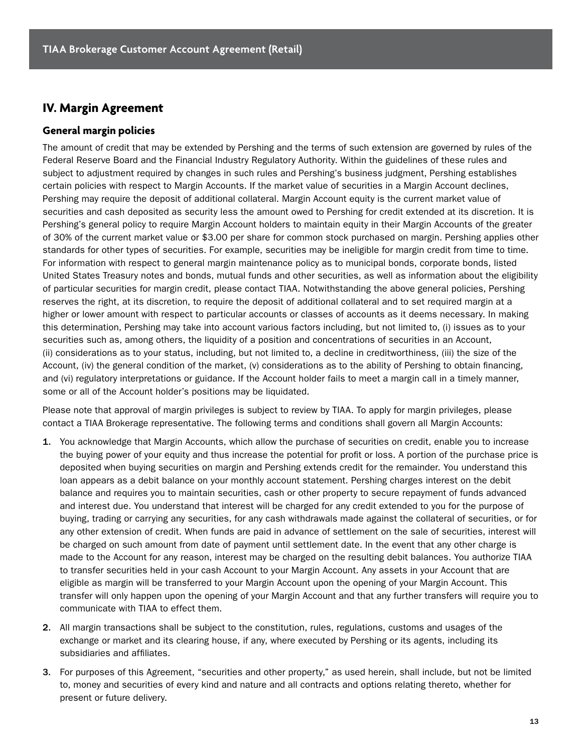#### **IV. Margin Agreement**

#### **General margin policies**

The amount of credit that may be extended by Pershing and the terms of such extension are governed by rules of the Federal Reserve Board and the Financial Industry Regulatory Authority. Within the guidelines of these rules and subject to adjustment required by changes in such rules and Pershing's business judgment, Pershing establishes certain policies with respect to Margin Accounts. If the market value of securities in a Margin Account declines, Pershing may require the deposit of additional collateral. Margin Account equity is the current market value of securities and cash deposited as security less the amount owed to Pershing for credit extended at its discretion. It is Pershing's general policy to require Margin Account holders to maintain equity in their Margin Accounts of the greater of 30% of the current market value or \$3.00 per share for common stock purchased on margin. Pershing applies other standards for other types of securities. For example, securities may be ineligible for margin credit from time to time. For information with respect to general margin maintenance policy as to municipal bonds, corporate bonds, listed United States Treasury notes and bonds, mutual funds and other securities, as well as information about the eligibility of particular securities for margin credit, please contact TIAA. Notwithstanding the above general policies, Pershing reserves the right, at its discretion, to require the deposit of additional collateral and to set required margin at a higher or lower amount with respect to particular accounts or classes of accounts as it deems necessary. In making this determination, Pershing may take into account various factors including, but not limited to, (i) issues as to your securities such as, among others, the liquidity of a position and concentrations of securities in an Account, (ii) considerations as to your status, including, but not limited to, a decline in creditworthiness, (iii) the size of the Account, (iv) the general condition of the market, (v) considerations as to the ability of Pershing to obtain financing, and (vi) regulatory interpretations or guidance. If the Account holder fails to meet a margin call in a timely manner, some or all of the Account holder's positions may be liquidated.

Please note that approval of margin privileges is subject to review by TIAA. To apply for margin privileges, please contact a TIAA Brokerage representative. The following terms and conditions shall govern all Margin Accounts:

- 1. You acknowledge that Margin Accounts, which allow the purchase of securities on credit, enable you to increase the buying power of your equity and thus increase the potential for profit or loss. A portion of the purchase price is deposited when buying securities on margin and Pershing extends credit for the remainder. You understand this loan appears as a debit balance on your monthly account statement. Pershing charges interest on the debit balance and requires you to maintain securities, cash or other property to secure repayment of funds advanced and interest due. You understand that interest will be charged for any credit extended to you for the purpose of buying, trading or carrying any securities, for any cash withdrawals made against the collateral of securities, or for any other extension of credit. When funds are paid in advance of settlement on the sale of securities, interest will be charged on such amount from date of payment until settlement date. In the event that any other charge is made to the Account for any reason, interest may be charged on the resulting debit balances. You authorize TIAA to transfer securities held in your cash Account to your Margin Account. Any assets in your Account that are eligible as margin will be transferred to your Margin Account upon the opening of your Margin Account. This transfer will only happen upon the opening of your Margin Account and that any further transfers will require you to communicate with TIAA to effect them.
- 2. All margin transactions shall be subject to the constitution, rules, regulations, customs and usages of the exchange or market and its clearing house, if any, where executed by Pershing or its agents, including its subsidiaries and affiliates.
- 3. For purposes of this Agreement, "securities and other property," as used herein, shall include, but not be limited to, money and securities of every kind and nature and all contracts and options relating thereto, whether for present or future delivery.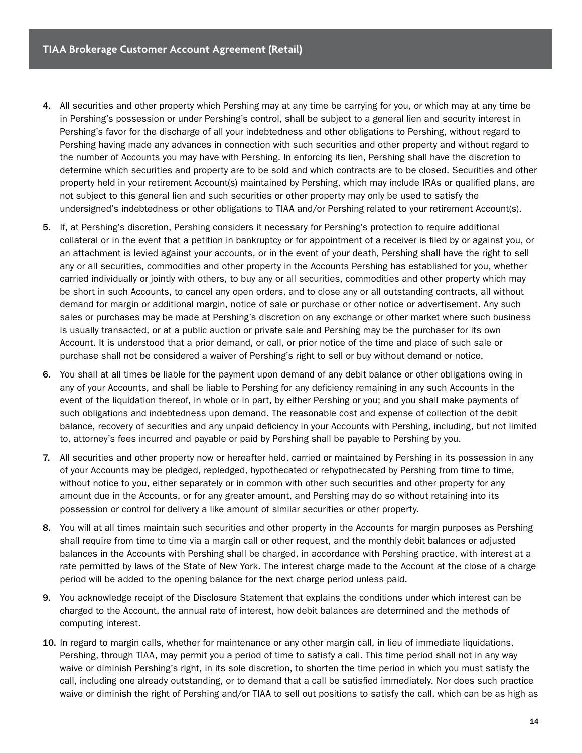- 4. All securities and other property which Pershing may at any time be carrying for you, or which may at any time be in Pershing's possession or under Pershing's control, shall be subject to a general lien and security interest in Pershing's favor for the discharge of all your indebtedness and other obligations to Pershing, without regard to Pershing having made any advances in connection with such securities and other property and without regard to the number of Accounts you may have with Pershing. In enforcing its lien, Pershing shall have the discretion to determine which securities and property are to be sold and which contracts are to be closed. Securities and other property held in your retirement Account(s) maintained by Pershing, which may include IRAs or qualified plans, are not subject to this general lien and such securities or other property may only be used to satisfy the undersigned's indebtedness or other obligations to TIAA and/or Pershing related to your retirement Account(s).
- 5. If, at Pershing's discretion, Pershing considers it necessary for Pershing's protection to require additional collateral or in the event that a petition in bankruptcy or for appointment of a receiver is filed by or against you, or an attachment is levied against your accounts, or in the event of your death, Pershing shall have the right to sell any or all securities, commodities and other property in the Accounts Pershing has established for you, whether carried individually or jointly with others, to buy any or all securities, commodities and other property which may be short in such Accounts, to cancel any open orders, and to close any or all outstanding contracts, all without demand for margin or additional margin, notice of sale or purchase or other notice or advertisement. Any such sales or purchases may be made at Pershing's discretion on any exchange or other market where such business is usually transacted, or at a public auction or private sale and Pershing may be the purchaser for its own Account. It is understood that a prior demand, or call, or prior notice of the time and place of such sale or purchase shall not be considered a waiver of Pershing's right to sell or buy without demand or notice.
- 6. You shall at all times be liable for the payment upon demand of any debit balance or other obligations owing in any of your Accounts, and shall be liable to Pershing for any deficiency remaining in any such Accounts in the event of the liquidation thereof, in whole or in part, by either Pershing or you; and you shall make payments of such obligations and indebtedness upon demand. The reasonable cost and expense of collection of the debit balance, recovery of securities and any unpaid deficiency in your Accounts with Pershing, including, but not limited to, attorney's fees incurred and payable or paid by Pershing shall be payable to Pershing by you.
- 7. All securities and other property now or hereafter held, carried or maintained by Pershing in its possession in any of your Accounts may be pledged, repledged, hypothecated or rehypothecated by Pershing from time to time, without notice to you, either separately or in common with other such securities and other property for any amount due in the Accounts, or for any greater amount, and Pershing may do so without retaining into its possession or control for delivery a like amount of similar securities or other property.
- 8. You will at all times maintain such securities and other property in the Accounts for margin purposes as Pershing shall require from time to time via a margin call or other request, and the monthly debit balances or adjusted balances in the Accounts with Pershing shall be charged, in accordance with Pershing practice, with interest at a rate permitted by laws of the State of New York. The interest charge made to the Account at the close of a charge period will be added to the opening balance for the next charge period unless paid.
- 9. You acknowledge receipt of the Disclosure Statement that explains the conditions under which interest can be charged to the Account, the annual rate of interest, how debit balances are determined and the methods of computing interest.
- 10. In regard to margin calls, whether for maintenance or any other margin call, in lieu of immediate liquidations, Pershing, through TIAA, may permit you a period of time to satisfy a call. This time period shall not in any way waive or diminish Pershing's right, in its sole discretion, to shorten the time period in which you must satisfy the call, including one already outstanding, or to demand that a call be satisfied immediately. Nor does such practice waive or diminish the right of Pershing and/or TIAA to sell out positions to satisfy the call, which can be as high as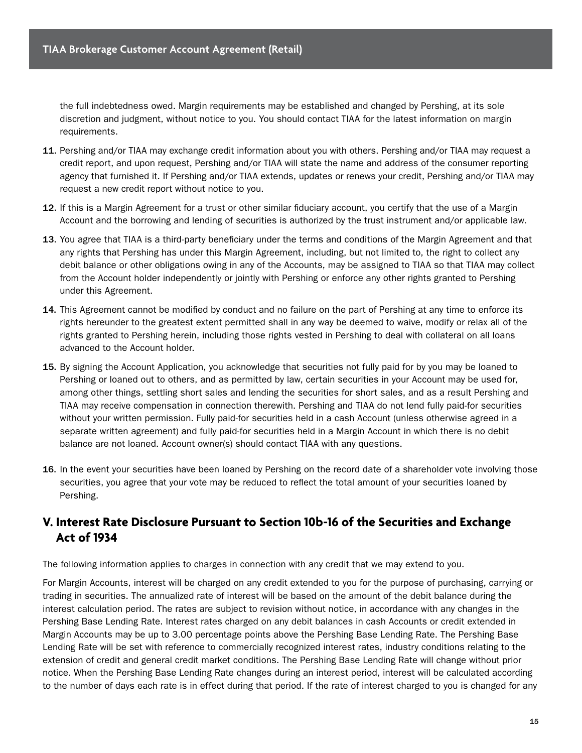the full indebtedness owed. Margin requirements may be established and changed by Pershing, at its sole discretion and judgment, without notice to you. You should contact TIAA for the latest information on margin requirements.

- 11. Pershing and/or TIAA may exchange credit information about you with others. Pershing and/or TIAA may request a credit report, and upon request, Pershing and/or TIAA will state the name and address of the consumer reporting agency that furnished it. If Pershing and/or TIAA extends, updates or renews your credit, Pershing and/or TIAA may request a new credit report without notice to you.
- 12. If this is a Margin Agreement for a trust or other similar fiduciary account, you certify that the use of a Margin Account and the borrowing and lending of securities is authorized by the trust instrument and/or applicable law.
- 13. You agree that TIAA is a third-party beneficiary under the terms and conditions of the Margin Agreement and that any rights that Pershing has under this Margin Agreement, including, but not limited to, the right to collect any debit balance or other obligations owing in any of the Accounts, may be assigned to TIAA so that TIAA may collect from the Account holder independently or jointly with Pershing or enforce any other rights granted to Pershing under this Agreement.
- 14. This Agreement cannot be modified by conduct and no failure on the part of Pershing at any time to enforce its rights hereunder to the greatest extent permitted shall in any way be deemed to waive, modify or relax all of the rights granted to Pershing herein, including those rights vested in Pershing to deal with collateral on all loans advanced to the Account holder.
- 15. By signing the Account Application, you acknowledge that securities not fully paid for by you may be loaned to Pershing or loaned out to others, and as permitted by law, certain securities in your Account may be used for, among other things, settling short sales and lending the securities for short sales, and as a result Pershing and TIAA may receive compensation in connection therewith. Pershing and TIAA do not lend fully paid-for securities without your written permission. Fully paid-for securities held in a cash Account (unless otherwise agreed in a separate written agreement) and fully paid-for securities held in a Margin Account in which there is no debit balance are not loaned. Account owner(s) should contact TIAA with any questions.
- 16. In the event your securities have been loaned by Pershing on the record date of a shareholder vote involving those securities, you agree that your vote may be reduced to reflect the total amount of your securities loaned by Pershing.

## **V. Interest Rate Disclosure Pursuant to Section 10b-16 of the Securities and Exchange Act of 1934**

The following information applies to charges in connection with any credit that we may extend to you.

For Margin Accounts, interest will be charged on any credit extended to you for the purpose of purchasing, carrying or trading in securities. The annualized rate of interest will be based on the amount of the debit balance during the interest calculation period. The rates are subject to revision without notice, in accordance with any changes in the Pershing Base Lending Rate. Interest rates charged on any debit balances in cash Accounts or credit extended in Margin Accounts may be up to 3.00 percentage points above the Pershing Base Lending Rate. The Pershing Base Lending Rate will be set with reference to commercially recognized interest rates, industry conditions relating to the extension of credit and general credit market conditions. The Pershing Base Lending Rate will change without prior notice. When the Pershing Base Lending Rate changes during an interest period, interest will be calculated according to the number of days each rate is in effect during that period. If the rate of interest charged to you is changed for any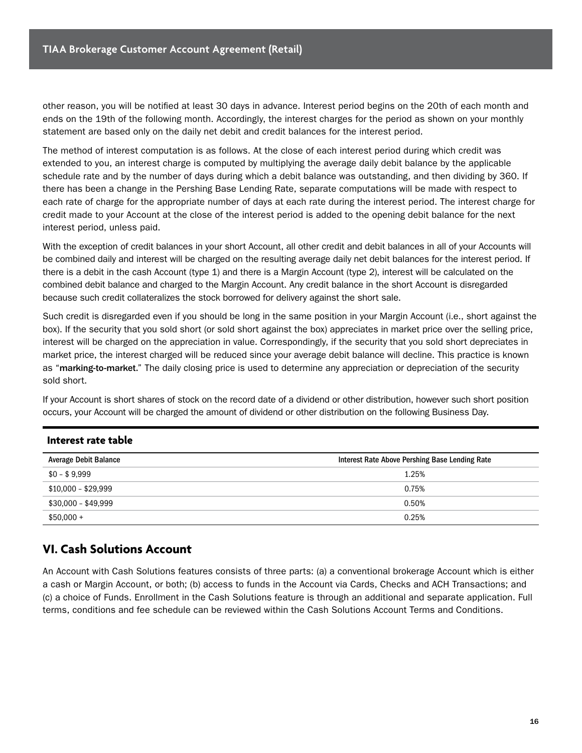other reason, you will be notified at least 30 days in advance. Interest period begins on the 20th of each month and ends on the 19th of the following month. Accordingly, the interest charges for the period as shown on your monthly statement are based only on the daily net debit and credit balances for the interest period.

The method of interest computation is as follows. At the close of each interest period during which credit was extended to you, an interest charge is computed by multiplying the average daily debit balance by the applicable schedule rate and by the number of days during which a debit balance was outstanding, and then dividing by 360. If there has been a change in the Pershing Base Lending Rate, separate computations will be made with respect to each rate of charge for the appropriate number of days at each rate during the interest period. The interest charge for credit made to your Account at the close of the interest period is added to the opening debit balance for the next interest period, unless paid.

With the exception of credit balances in your short Account, all other credit and debit balances in all of your Accounts will be combined daily and interest will be charged on the resulting average daily net debit balances for the interest period. If there is a debit in the cash Account (type 1) and there is a Margin Account (type 2), interest will be calculated on the combined debit balance and charged to the Margin Account. Any credit balance in the short Account is disregarded because such credit collateralizes the stock borrowed for delivery against the short sale.

Such credit is disregarded even if you should be long in the same position in your Margin Account (i.e., short against the box). If the security that you sold short (or sold short against the box) appreciates in market price over the selling price, interest will be charged on the appreciation in value. Correspondingly, if the security that you sold short depreciates in market price, the interest charged will be reduced since your average debit balance will decline. This practice is known as "marking-to-market." The daily closing price is used to determine any appreciation or depreciation of the security sold short.

If your Account is short shares of stock on the record date of a dividend or other distribution, however such short position occurs, your Account will be charged the amount of dividend or other distribution on the following Business Day.

#### **Interest rate table**

| Average Debit Balance | Interest Rate Above Pershing Base Lending Rate |  |  |
|-----------------------|------------------------------------------------|--|--|
| $$0 - $9,999$         | 1.25%                                          |  |  |
| $$10,000 - $29,999$   | 0.75%                                          |  |  |
| \$30,000 - \$49,999   | 0.50%                                          |  |  |
| $$50,000 +$           | 0.25%                                          |  |  |

### **VI. Cash Solutions Account**

An Account with Cash Solutions features consists of three parts: (a) a conventional brokerage Account which is either a cash or Margin Account, or both; (b) access to funds in the Account via Cards, Checks and ACH Transactions; and (c) a choice of Funds. Enrollment in the Cash Solutions feature is through an additional and separate application. Full terms, conditions and fee schedule can be reviewed within the Cash Solutions Account Terms and Conditions.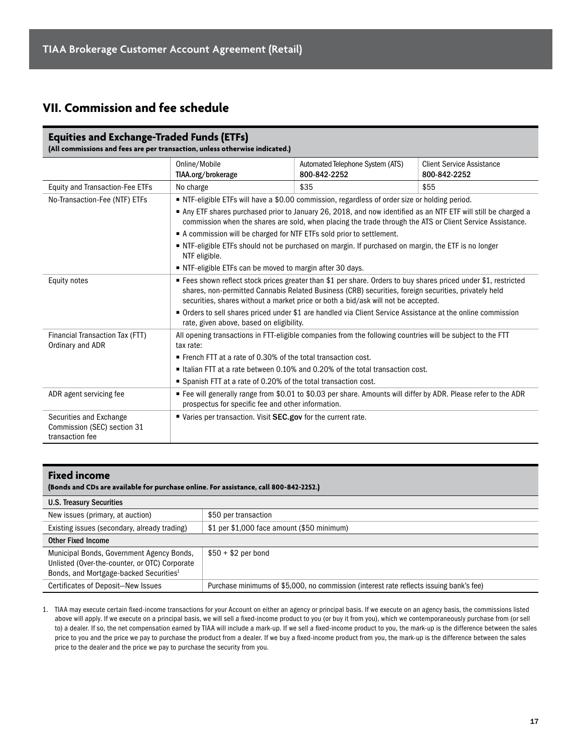## **VII. Commission and fee schedule**

#### **Equities and Exchange-Traded Funds (ETFs) (All commissions and fees are per transaction, unless otherwise indicated.)**

|                                                                           | Online/Mobile<br>TIAA.org/brokerage                                                                                                                                                                                                                                                                          | Automated Telephone System (ATS)<br>800-842-2252                                               | <b>Client Service Assistance</b><br>800-842-2252 |  |
|---------------------------------------------------------------------------|--------------------------------------------------------------------------------------------------------------------------------------------------------------------------------------------------------------------------------------------------------------------------------------------------------------|------------------------------------------------------------------------------------------------|--------------------------------------------------|--|
| <b>Equity and Transaction-Fee ETFs</b>                                    | No charge                                                                                                                                                                                                                                                                                                    | \$35                                                                                           | \$55                                             |  |
| No-Transaction-Fee (NTF) ETFs                                             |                                                                                                                                                                                                                                                                                                              | ■ NTF-eligible ETFs will have a \$0.00 commission, regardless of order size or holding period. |                                                  |  |
|                                                                           | Any ETF shares purchased prior to January 26, 2018, and now identified as an NTF ETF will still be charged a<br>commission when the shares are sold, when placing the trade through the ATS or Client Service Assistance.                                                                                    |                                                                                                |                                                  |  |
|                                                                           | A commission will be charged for NTF ETFs sold prior to settlement.                                                                                                                                                                                                                                          |                                                                                                |                                                  |  |
|                                                                           | • NTF-eligible ETFs should not be purchased on margin. If purchased on margin, the ETF is no longer<br>NTF eligible.                                                                                                                                                                                         |                                                                                                |                                                  |  |
|                                                                           | ■ NTF-eligible ETFs can be moved to margin after 30 days.                                                                                                                                                                                                                                                    |                                                                                                |                                                  |  |
| Equity notes                                                              | ■ Fees shown reflect stock prices greater than \$1 per share. Orders to buy shares priced under \$1, restricted<br>shares, non-permitted Cannabis Related Business (CRB) securities, foreign securities, privately held<br>securities, shares without a market price or both a bid/ask will not be accepted. |                                                                                                |                                                  |  |
|                                                                           | • Orders to sell shares priced under \$1 are handled via Client Service Assistance at the online commission<br>rate, given above, based on eligibility.                                                                                                                                                      |                                                                                                |                                                  |  |
| Financial Transaction Tax (FTT)<br>Ordinary and ADR                       | All opening transactions in FTT-eligible companies from the following countries will be subject to the FTT<br>tax rate:                                                                                                                                                                                      |                                                                                                |                                                  |  |
|                                                                           | French FTT at a rate of 0.30% of the total transaction cost.                                                                                                                                                                                                                                                 |                                                                                                |                                                  |  |
|                                                                           |                                                                                                                                                                                                                                                                                                              | • Italian FTT at a rate between 0.10% and 0.20% of the total transaction cost.                 |                                                  |  |
|                                                                           | Spanish FTT at a rate of 0.20% of the total transaction cost.                                                                                                                                                                                                                                                |                                                                                                |                                                  |  |
| ADR agent servicing fee                                                   | ■ Fee will generally range from \$0.01 to \$0.03 per share. Amounts will differ by ADR. Please refer to the ADR<br>prospectus for specific fee and other information.                                                                                                                                        |                                                                                                |                                                  |  |
| Securities and Exchange<br>Commission (SEC) section 31<br>transaction fee | ■ Varies per transaction. Visit SEC.gov for the current rate.                                                                                                                                                                                                                                                |                                                                                                |                                                  |  |

#### **Fixed income (Bonds and CDs are available for purchase online. For assistance, call 800-842-2252.)** U.S. Treasury Securities New issues (primary, at auction) \$50 per transaction Existing issues (secondary, already trading) | \$1 per \$1,000 face amount (\$50 minimum) Other Fixed Income Municipal Bonds, Government Agency Bonds,  $$50 + $2$  per bond

| Unlisted (Over-the-counter, or OTC) Corporate<br>Bonds, and Mortgage-backed Securities <sup>1</sup> |                                                                                         |
|-----------------------------------------------------------------------------------------------------|-----------------------------------------------------------------------------------------|
| Certificates of Deposit-New Issues                                                                  | Purchase minimums of \$5,000, no commission (interest rate reflects issuing bank's fee) |

1. TIAA may execute certain fixed-income transactions for your Account on either an agency or principal basis. If we execute on an agency basis, the commissions listed above will apply. If we execute on a principal basis, we will sell a fixed-income product to you (or buy it from you), which we contemporaneously purchase from (or sell to) a dealer. If so, the net compensation earned by TIAA will include a mark-up. If we sell a fixed-income product to you, the mark-up is the difference between the sales price to you and the price we pay to purchase the product from a dealer. If we buy a fixed-income product from you, the mark-up is the difference between the sales price to the dealer and the price we pay to purchase the security from you.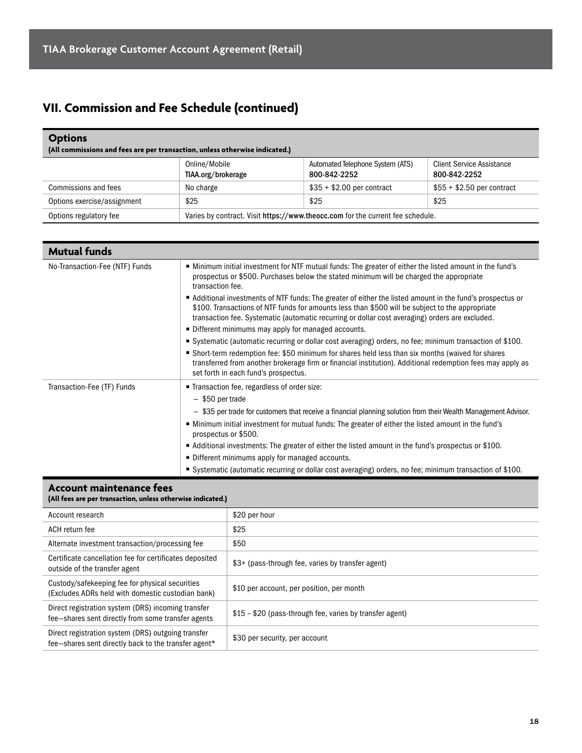## **VII. Commission and Fee Schedule (continued)**

| <b>Options</b><br>(All commissions and fees are per transaction, unless otherwise indicated.) |                                                                                |                                                  |                                                  |
|-----------------------------------------------------------------------------------------------|--------------------------------------------------------------------------------|--------------------------------------------------|--------------------------------------------------|
|                                                                                               | Online/Mobile<br>TIAA.org/brokerage                                            | Automated Telephone System (ATS)<br>800-842-2252 | <b>Client Service Assistance</b><br>800-842-2252 |
| Commissions and fees                                                                          | No charge                                                                      | $$35 + $2.00$ per contract                       | $$55 + $2.50$ per contract                       |
| Options exercise/assignment                                                                   | \$25                                                                           | \$25                                             | \$25                                             |
| Options regulatory fee                                                                        | Varies by contract. Visit https://www.theocc.com for the current fee schedule. |                                                  |                                                  |

| <b>Mutual funds</b>            |                                                                                                                                                                                                                                                                                                                |
|--------------------------------|----------------------------------------------------------------------------------------------------------------------------------------------------------------------------------------------------------------------------------------------------------------------------------------------------------------|
| No-Transaction-Fee (NTF) Funds | • Minimum initial investment for NTF mutual funds: The greater of either the listed amount in the fund's<br>prospectus or \$500. Purchases below the stated minimum will be charged the appropriate<br>transaction fee.                                                                                        |
|                                | Additional investments of NTF funds: The greater of either the listed amount in the fund's prospectus or<br>\$100. Transactions of NTF funds for amounts less than \$500 will be subject to the appropriate<br>transaction fee. Systematic (automatic recurring or dollar cost averaging) orders are excluded. |
|                                | • Different minimums may apply for managed accounts.                                                                                                                                                                                                                                                           |
|                                | ■ Systematic (automatic recurring or dollar cost averaging) orders, no fee; minimum transaction of \$100.                                                                                                                                                                                                      |
|                                | • Short-term redemption fee: \$50 minimum for shares held less than six months (waived for shares<br>transferred from another brokerage firm or financial institution). Additional redemption fees may apply as<br>set forth in each fund's prospectus.                                                        |
| Transaction-Fee (TF) Funds     | ■ Transaction fee, regardless of order size:                                                                                                                                                                                                                                                                   |
|                                | $-$ \$50 per trade                                                                                                                                                                                                                                                                                             |
|                                | $-$ \$35 per trade for customers that receive a financial planning solution from their Wealth Management Advisor.                                                                                                                                                                                              |
|                                | • Minimum initial investment for mutual funds: The greater of either the listed amount in the fund's<br>prospectus or \$500.                                                                                                                                                                                   |
|                                | ■ Additional investments: The greater of either the listed amount in the fund's prospectus or \$100.                                                                                                                                                                                                           |
|                                | • Different minimums apply for managed accounts.                                                                                                                                                                                                                                                               |
|                                | Systematic (automatic recurring or dollar cost averaging) orders, no fee; minimum transaction of \$100.                                                                                                                                                                                                        |

#### **Account maintenance fees (All fees are per transaction, unless otherwise indicated.)**

| It was a complete the complete of the complete state of the complete of                                    |                                                          |
|------------------------------------------------------------------------------------------------------------|----------------------------------------------------------|
| Account research                                                                                           | \$20 per hour                                            |
| ACH return fee                                                                                             | \$25                                                     |
| Alternate investment transaction/processing fee                                                            | \$50                                                     |
| Certificate cancellation fee for certificates deposited<br>outside of the transfer agent                   | \$3+ (pass-through fee, varies by transfer agent)        |
| Custody/safekeeping fee for physical securities<br>(Excludes ADRs held with domestic custodian bank)       | \$10 per account, per position, per month                |
| Direct registration system (DRS) incoming transfer<br>fee-shares sent directly from some transfer agents   | \$15 - \$20 (pass-through fee, varies by transfer agent) |
| Direct registration system (DRS) outgoing transfer<br>fee-shares sent directly back to the transfer agent* | \$30 per security, per account                           |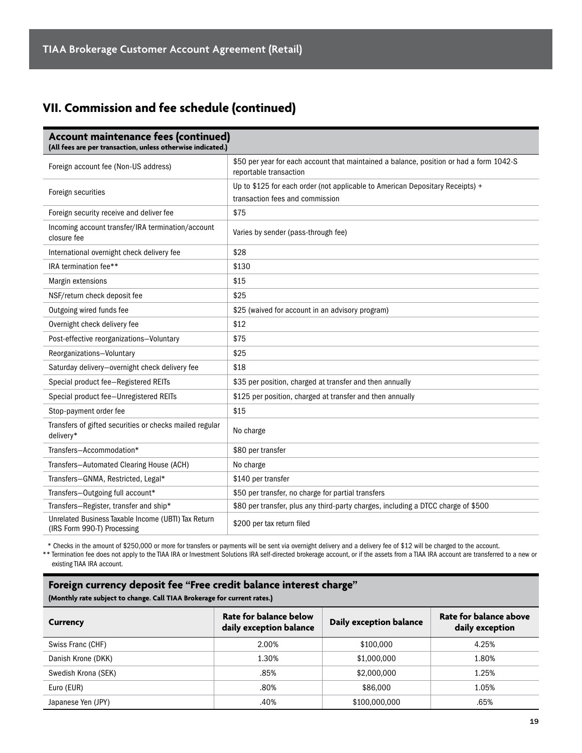## **VII. Commission and fee schedule (continued)**

| Account maintenance fees (continued)<br>(All fees are per transaction, unless otherwise indicated.) |                                                                                                                   |
|-----------------------------------------------------------------------------------------------------|-------------------------------------------------------------------------------------------------------------------|
| Foreign account fee (Non-US address)                                                                | \$50 per year for each account that maintained a balance, position or had a form 1042-S<br>reportable transaction |
| Foreign securities                                                                                  | Up to \$125 for each order (not applicable to American Depositary Receipts) +<br>transaction fees and commission  |
| Foreign security receive and deliver fee                                                            | \$75                                                                                                              |
| Incoming account transfer/IRA termination/account<br>closure fee                                    | Varies by sender (pass-through fee)                                                                               |
| International overnight check delivery fee                                                          | \$28                                                                                                              |
| IRA termination fee**                                                                               | \$130                                                                                                             |
| Margin extensions                                                                                   | \$15                                                                                                              |
| NSF/return check deposit fee                                                                        | \$25                                                                                                              |
| Outgoing wired funds fee                                                                            | \$25 (waived for account in an advisory program)                                                                  |
| Overnight check delivery fee                                                                        | \$12                                                                                                              |
| Post-effective reorganizations-Voluntary                                                            | \$75                                                                                                              |
| Reorganizations-Voluntary                                                                           | \$25                                                                                                              |
| Saturday delivery-overnight check delivery fee                                                      | \$18                                                                                                              |
| Special product fee-Registered REITs                                                                | \$35 per position, charged at transfer and then annually                                                          |
| Special product fee-Unregistered REITs                                                              | \$125 per position, charged at transfer and then annually                                                         |
| Stop-payment order fee                                                                              | \$15                                                                                                              |
| Transfers of gifted securities or checks mailed regular<br>delivery*                                | No charge                                                                                                         |
| Transfers-Accommodation*                                                                            | \$80 per transfer                                                                                                 |
| Transfers-Automated Clearing House (ACH)                                                            | No charge                                                                                                         |
| Transfers-GNMA, Restricted, Legal*                                                                  | \$140 per transfer                                                                                                |
| Transfers-Outgoing full account*                                                                    | \$50 per transfer, no charge for partial transfers                                                                |
| Transfers-Register, transfer and ship*                                                              | \$80 per transfer, plus any third-party charges, including a DTCC charge of \$500                                 |
| Unrelated Business Taxable Income (UBTI) Tax Return<br>(IRS Form 990-T) Processing                  | \$200 per tax return filed                                                                                        |

\* Checks in the amount of \$250,000 or more for transfers or payments will be sent via overnight delivery and a delivery fee of \$12 will be charged to the account.

\*\* Termination fee does not apply to the TIAA IRA or Investment Solutions IRA self-directed brokerage account, or if the assets from a TIAA IRA account are transferred to a new or existing TIAA IRA account.

#### **Foreign currency deposit fee "Free credit balance interest charge"**

**(Monthly rate subject to change. Call TIAA Brokerage for current rates.)**

| Currency            | Rate for balance below<br>daily exception balance | Daily exception balance | Rate for balance above<br>daily exception |
|---------------------|---------------------------------------------------|-------------------------|-------------------------------------------|
| Swiss Franc (CHF)   | 2.00%                                             | \$100,000               | 4.25%                                     |
| Danish Krone (DKK)  | 1.30%                                             | \$1,000,000             | 1.80%                                     |
| Swedish Krona (SEK) | .85%                                              | \$2,000,000             | 1.25%                                     |
| Euro (EUR)          | .80%                                              | \$86,000                | 1.05%                                     |
| Japanese Yen (JPY)  | .40%                                              | \$100,000,000           | .65%                                      |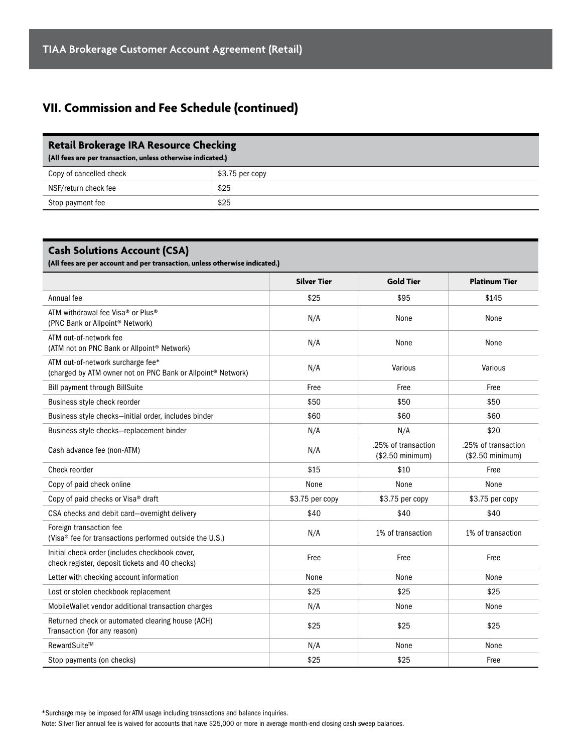## **VII. Commission and Fee Schedule (continued)**

| <b>Retail Brokerage IRA Resource Checking</b><br>(All fees are per transaction, unless otherwise indicated.) |                 |  |
|--------------------------------------------------------------------------------------------------------------|-----------------|--|
| Copy of cancelled check                                                                                      | \$3.75 per copy |  |
| NSF/return check fee                                                                                         | \$25            |  |
| Stop payment fee                                                                                             | \$25            |  |

#### **Cash Solutions Account (CSA)**

**(All fees are per account and per transaction, unless otherwise indicated.)**

|                                                                                                              | <b>Silver Tier</b> | <b>Gold Tier</b>                         | <b>Platinum Tier</b>                    |
|--------------------------------------------------------------------------------------------------------------|--------------------|------------------------------------------|-----------------------------------------|
| Annual fee                                                                                                   | \$25               | \$95                                     | \$145                                   |
| ATM withdrawal fee Visa <sup>®</sup> or Plus <sup>®</sup><br>(PNC Bank or Allpoint <sup>®</sup> Network)     | N/A                | None                                     | None                                    |
| ATM out-of-network fee<br>(ATM not on PNC Bank or Allpoint® Network)                                         | N/A                | None                                     | None                                    |
| ATM out-of-network surcharge fee*<br>(charged by ATM owner not on PNC Bank or Allpoint <sup>®</sup> Network) | N/A                | Various                                  | Various                                 |
| <b>Bill payment through BillSuite</b>                                                                        | Free               | Free                                     | Free                                    |
| Business style check reorder                                                                                 | \$50               | \$50                                     | \$50                                    |
| Business style checks-initial order, includes binder                                                         | \$60               | \$60                                     | \$60                                    |
| Business style checks-replacement binder                                                                     | N/A                | N/A                                      | \$20                                    |
| Cash advance fee (non-ATM)                                                                                   | N/A                | .25% of transaction<br>$($2.50$ minimum) | .25% of transaction<br>(\$2.50 minimum) |
| Check reorder                                                                                                | \$15               | \$10                                     | Free                                    |
| Copy of paid check online                                                                                    | None               | None                                     | None                                    |
| Copy of paid checks or Visa <sup>®</sup> draft                                                               | \$3.75 per copy    | \$3.75 per copy                          | \$3.75 per copy                         |
| CSA checks and debit card-overnight delivery                                                                 | \$40               | \$40                                     | \$40                                    |
| Foreign transaction fee<br>(Visa® fee for transactions performed outside the U.S.)                           | N/A                | 1% of transaction                        | 1% of transaction                       |
| Initial check order (includes checkbook cover,<br>check register, deposit tickets and 40 checks)             | Free               | Free                                     | Free                                    |
| Letter with checking account information                                                                     | None               | None                                     | None                                    |
| Lost or stolen checkbook replacement                                                                         | \$25               | \$25                                     | \$25                                    |
| MobileWallet vendor additional transaction charges                                                           | N/A                | None                                     | None                                    |
| Returned check or automated clearing house (ACH)<br>Transaction (for any reason)                             | \$25               | \$25                                     | \$25                                    |
| RewardSuite™                                                                                                 | N/A                | None                                     | None                                    |
| Stop payments (on checks)                                                                                    | \$25               | \$25                                     | Free                                    |

\*Surcharge may be imposed for ATM usage including transactions and balance inquiries.

Note: Silver Tier annual fee is waived for accounts that have \$25,000 or more in average month-end closing cash sweep balances.